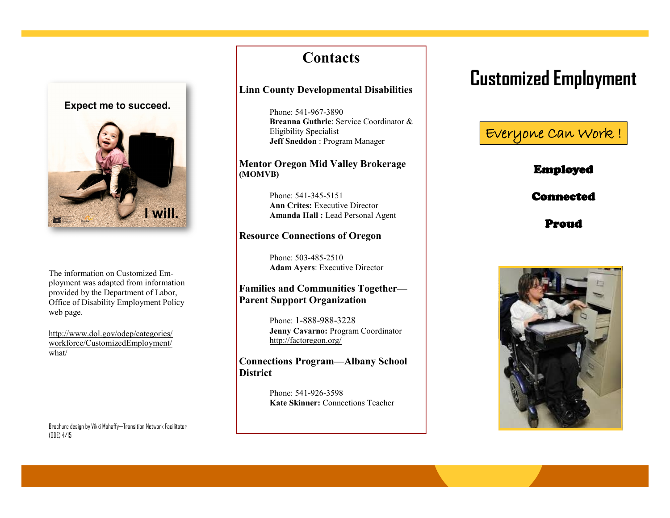

The information on Customized Employment was adapted from information provided by the Department of Labor, Office of Disability Employment Policy web page.

[http://www.dol.gov/odep/categories/](http://www.dol.gov/odep/categories/workforce/CustomizedEmployment/what/) [workforce/CustomizedEmployment/](http://www.dol.gov/odep/categories/workforce/CustomizedEmployment/what/) [what/](http://www.dol.gov/odep/categories/workforce/CustomizedEmployment/what/)

Brochure design by Vikki Mahaffy—Transition Network Facilitator (ODE) 4/15

# **Contacts**

#### **Linn County Developmental Disabilities**

Phone: 541-967-3890 **Breanna Guthrie**: Service Coordinator & Eligibility Specialist **Jeff Sneddon** : Program Manager

#### **Mentor Oregon Mid Valley Brokerage (MOMVB)**

Phone: 541-345-5151 **Ann Crites:** Executive Director **Amanda Hall :** Lead Personal Agent

#### **Resource Connections of Oregon**

Phone: 503-485-2510 **Adam Ayers**: Executive Director

#### **Families and Communities Together— Parent Support Organization**

Phone: 1-888-988-3228 **Jenny Cavarno:** Program Coordinator http://factoregon.org/

**Connections Program—Albany School District**

> Phone: 541-926-3598 **Kate Skinner:** Connections Teacher

# **Customized Employment**

# Everyone Can Work !

#### Employed

#### Connected

#### Proud